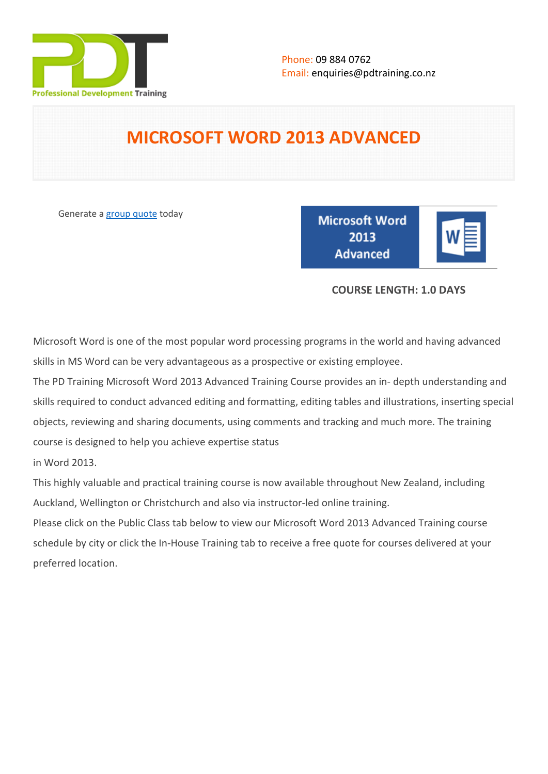

# **MICROSOFT WORD 2013 ADVANCED**

Generate a [group quote](https://pdtraining.co.nz/inhouse-training-quote?cse=PDT9053CTM) today

**Microsoft Word** 2013 **Advanced** 

|--|

# **COURSE LENGTH: 1.0 DAYS**

Microsoft Word is one of the most popular word processing programs in the world and having advanced skills in MS Word can be very advantageous as a prospective or existing employee.

The PD Training Microsoft Word 2013 Advanced Training Course provides an in- depth understanding and skills required to conduct advanced editing and formatting, editing tables and illustrations, inserting special objects, reviewing and sharing documents, using comments and tracking and much more. The training course is designed to help you achieve expertise status

in Word 2013.

This highly valuable and practical training course is now available throughout New Zealand, including Auckland, Wellington or Christchurch and also via instructor-led online training.

Please click on the Public Class tab below to view our Microsoft Word 2013 Advanced Training course schedule by city or click the In-House Training tab to receive a free quote for courses delivered at your preferred location.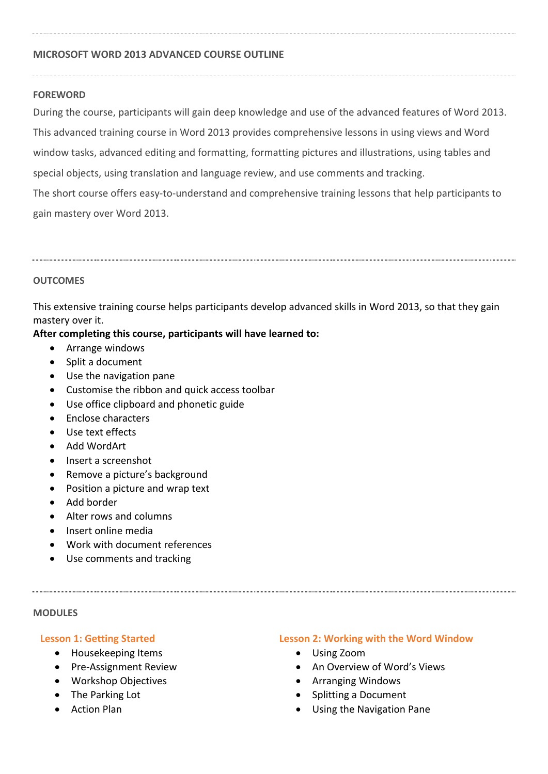#### **MICROSOFT WORD 2013 ADVANCED COURSE OUTLINE**

#### **FOREWORD**

During the course, participants will gain deep knowledge and use of the advanced features of Word 2013. This advanced training course in Word 2013 provides comprehensive lessons in using views and Word window tasks, advanced editing and formatting, formatting pictures and illustrations, using tables and special objects, using translation and language review, and use comments and tracking. The short course offers easy-to-understand and comprehensive training lessons that help participants to gain mastery over Word 2013.

#### **OUTCOMES**

This extensive training course helps participants develop advanced skills in Word 2013, so that they gain mastery over it.

#### **After completing this course, participants will have learned to:**

- Arrange windows
- Split a document
- Use the navigation pane
- Customise the ribbon and quick access toolbar
- Use office clipboard and phonetic guide
- Enclose characters
- Use text effects
- Add WordArt
- Insert a screenshot
- Remove a picture's background
- Position a picture and wrap text
- Add border
- Alter rows and columns
- Insert online media
- Work with document references
- Use comments and tracking

#### **MODULES**

#### **Lesson 1: Getting Started**

- Housekeeping Items
- Pre-Assignment Review
- Workshop Objectives
- The Parking Lot
- Action Plan

#### **Lesson 2: Working with the Word Window**

- Using Zoom
- An Overview of Word's Views
- Arranging Windows
- Splitting a Document
- Using the Navigation Pane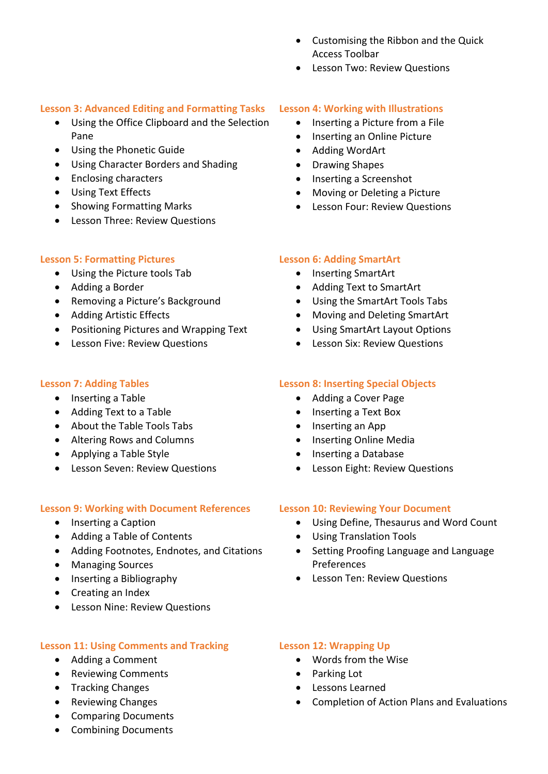- Customising the Ribbon and the Quick Access Toolbar
- Lesson Two: Review Questions

#### **Lesson 3: Advanced Editing and Formatting Tasks**

- Using the Office Clipboard and the Selection Pane
- Using the Phonetic Guide
- Using Character Borders and Shading
- Enclosing characters
- Using Text Effects
- Showing Formatting Marks
- Lesson Three: Review Questions

# **Lesson 5: Formatting Pictures**

- Using the Picture tools Tab
- Adding a Border
- Removing a Picture's Background
- Adding Artistic Effects
- Positioning Pictures and Wrapping Text
- **•** Lesson Five: Review Questions

# **Lesson 7: Adding Tables**

- Inserting a Table
- Adding Text to a Table
- About the Table Tools Tabs
- Altering Rows and Columns
- Applying a Table Style
- Lesson Seven: Review Questions

# **Lesson 9: Working with Document References**

- Inserting a Caption
- Adding a Table of Contents
- Adding Footnotes, Endnotes, and Citations
- Managing Sources
- Inserting a Bibliography
- Creating an Index
- Lesson Nine: Review Questions

# **Lesson 11: Using Comments and Tracking**

- Adding a Comment
- Reviewing Comments
- Tracking Changes
- Reviewing Changes
- Comparing Documents
- Combining Documents

#### **Lesson 4: Working with Illustrations**

- Inserting a Picture from a File
- Inserting an Online Picture
- Adding WordArt
- Drawing Shapes
- Inserting a Screenshot
- Moving or Deleting a Picture
- Lesson Four: Review Questions

# **Lesson 6: Adding SmartArt**

- Inserting SmartArt
- Adding Text to SmartArt
- Using the SmartArt Tools Tabs
- Moving and Deleting SmartArt
- Using SmartArt Layout Options
- **•** Lesson Six: Review Questions

# **Lesson 8: Inserting Special Objects**

- Adding a Cover Page
- Inserting a Text Box
- Inserting an App
- Inserting Online Media
- Inserting a Database
- Lesson Eight: Review Questions

# **Lesson 10: Reviewing Your Document**

- Using Define, Thesaurus and Word Count
- Using Translation Tools
- Setting Proofing Language and Language Preferences
- Lesson Ten: Review Questions

# **Lesson 12: Wrapping Up**

- Words from the Wise
- Parking Lot
- Lessons Learned
- Completion of Action Plans and Evaluations